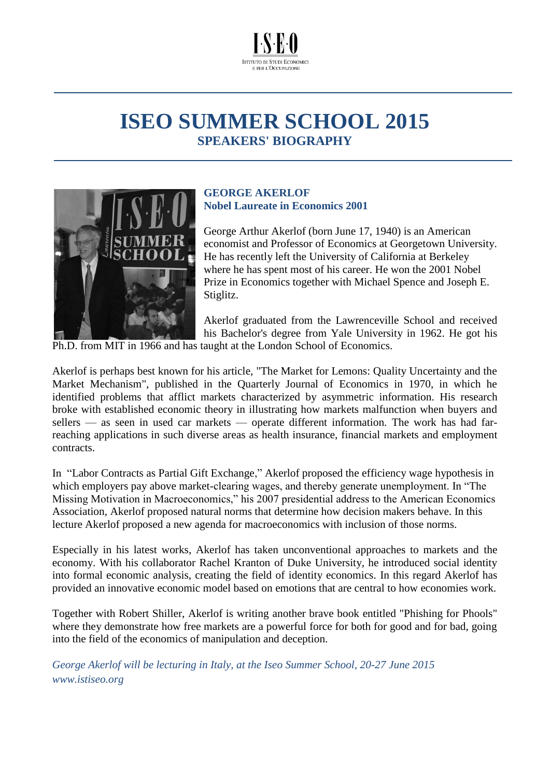

# **ISEO SUMMER SCHOOL 2015 SPEAKERS' BIOGRAPHY**



# **GEORGE AKERLOF Nobel Laureate in Economics 2001**

George Arthur Akerlof (born June 17, 1940) is an American economist and Professor of Economics at Georgetown University. He has recently left the University of California at Berkeley where he has spent most of his career. He won the 2001 Nobel Prize in Economics together with Michael Spence and Joseph E. Stiglitz.

Akerlof graduated from the Lawrenceville School and received his Bachelor's degree from Yale University in 1962. He got his

Ph.D. from MIT in 1966 and has taught at the London School of Economics.

Akerlof is perhaps best known for his article, "The Market for Lemons: Quality Uncertainty and the Market Mechanism", published in the Quarterly Journal of Economics in 1970, in which he identified problems that afflict markets characterized by asymmetric information. His research broke with established economic theory in illustrating how markets malfunction when buyers and sellers — as seen in used car markets — operate different information. The work has had farreaching applications in such diverse areas as health insurance, financial markets and employment contracts.

In ["Labor Contracts as Partial Gift Exchange,](http://www.jstor.org/stable/1885099)" Akerlof proposed the efficiency wage hypothesis in which employers pay above market-clearing wages, and thereby generate unemployment. In "The Missing Motivation in Macroeconomics," his 2007 presidential address to the American Economics Association, Akerlof proposed natural norms that determine how decision makers behave. In this lecture Akerlof proposed a new agenda for macroeconomics with inclusion of those norms.

Especially in his latest works, Akerlof has taken unconventional approaches to markets and the economy. With his collaborator [Rachel Kranton](http://en.wikipedia.org/wiki/Rachel_Kranton) of Duke University, he introduced social identity into formal economic analysis, creating the field of [identity economics.](http://en.wikipedia.org/wiki/Identity_economics) In this regard Akerlof has provided an innovative economic model based on emotions that are central to how economies work.

Together with Robert Shiller, Akerlof is writing another brave book entitled "Phishing for Phools" where they demonstrate how free markets are a powerful force for both for good and for bad, going into the field of the economics of manipulation and deception.

*George Akerlof will be lecturing in Italy, at the Iseo Summer School, 20-27 June 2015 www.istiseo.org*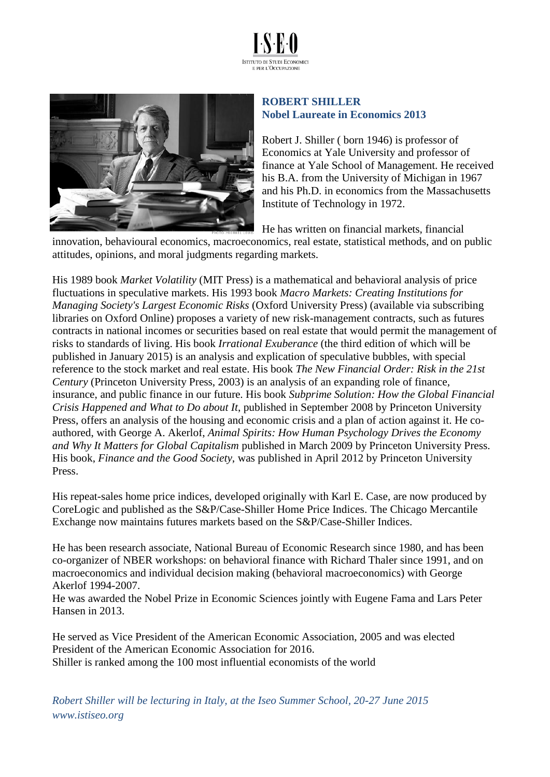



## **ROBERT SHILLER Nobel Laureate in Economics 2013**

Robert J. Shiller ( born 1946) is professor of Economics at Yale University and professor of finance at Yale School of Management. He received his B.A. from the University of Michigan in 1967 and his Ph.D. in economics from the Massachusetts Institute of Technology in 1972.

He has written on financial markets, financial

innovation, behavioural economics, macroeconomics, real estate, statistical methods, and on public attitudes, opinions, and moral judgments regarding markets.

His 1989 book *[Market Volatility](http://mitpress.mit.edu/books/market-volatility)* (MIT Press) is a mathematical and behavioral analysis of price fluctuations in speculative markets. His 1993 book *[Macro Markets: Creating Institutions for](http://global.oup.com/academic/product/macro-markets-9780198294184;jsessionid=8D6E99FF0982F9798EA04D9938DA034A?cc=us&lang=en&)  [Managing Society's Largest Economic Risks](http://global.oup.com/academic/product/macro-markets-9780198294184;jsessionid=8D6E99FF0982F9798EA04D9938DA034A?cc=us&lang=en&)* (Oxford University Press) [\(available via subscribing](http://www.oxfordscholarship.com/oso/public/content/economicsfinance/9780198294184/toc.html)  [libraries on Oxford Online\)](http://www.oxfordscholarship.com/oso/public/content/economicsfinance/9780198294184/toc.html) proposes a variety of new risk-management contracts, such as futures contracts in national incomes or securities based on real estate that would permit the management of risks to standards of living. His book *[Irrational Exuberance](http://press.princeton.edu/titles/7922.html)* (the third edition of which will be published in January 2015) is an analysis and explication of speculative bubbles, with special reference to the stock market and real estate. His book *[The New Financial Order: Risk in the 21st](http://press.princeton.edu/titles/7479.html)  [Century](http://press.princeton.edu/titles/7479.html)* (Princeton University Press, 2003) is an analysis of an expanding role of finance, insurance, and public finance in our future. His book *[Subprime Solution: How the Global Financial](http://press.princeton.edu/titles/8714.html)  [Crisis Happened and What to Do about It](http://press.princeton.edu/titles/8714.html)*, published in September 2008 by Princeton University Press, offers an analysis of the housing and economic crisis and a plan of action against it. He coauthored, with George A. Akerlof, *[Animal Spirits: How Human Psychology Drives the Economy](http://press.princeton.edu/titles/8967.html)  [and Why It Matters for Global Capitalism](http://press.princeton.edu/titles/8967.html)* published in March 2009 by Princeton University Press. His book, *[Finance and the Good Society](http://press.princeton.edu/titles/9652.html)*, was published in April 2012 by Princeton University Press.

His repeat-sales home price indices, developed originally with Karl E. Case, are now produced by [CoreLogic](http://www.corelogic.com/about-us/researchtrends/corelogic-case-shiller-indexes.aspx#.VFpV4md0xok) and published as the [S&P/Case-Shiller Home Price Indices.](http://www.spindices.com/index-family/real-estate/sp-case-shiller) The Chicago Mercantile Exchange now maintains [futures markets based on the](http://www.homepricefutures.com/) S&P/Case-Shiller Indices.

He has been research associate, [National Bureau of Economic Research](http://www.nber.org/) since 1980, and has been co-organizer of NBER workshops: on [behavioral finance](http://www.econ.yale.edu/~shiller/behfin/index.htm) with Richard Thaler since 1991, and on [macroeconomics and individual decision making](http://www.econ.yale.edu/~shiller/behmacro/index.htm) (behavioral macroeconomics) with George Akerlof 1994-2007.

He was awarded the [Nobel Prize in Economic Sciences jointly with Eugene Fama and Lars Peter](http://www.nobelprize.org/nobel_prizes/economic-sciences/laureates/2013/)  [Hansen in](http://www.nobelprize.org/nobel_prizes/economic-sciences/laureates/2013/) 2013.

He served as Vice President of the [American Economic Association,](https://www.aeaweb.org/) 2005 and was elected President of the [American Economic Association](https://www.aeaweb.org/) for 2016. Shiller is ranked among the 100 most influential economists of the world

*Robert Shiller will be lecturing in Italy, at the Iseo Summer School, 20-27 June 2015 www.istiseo.org*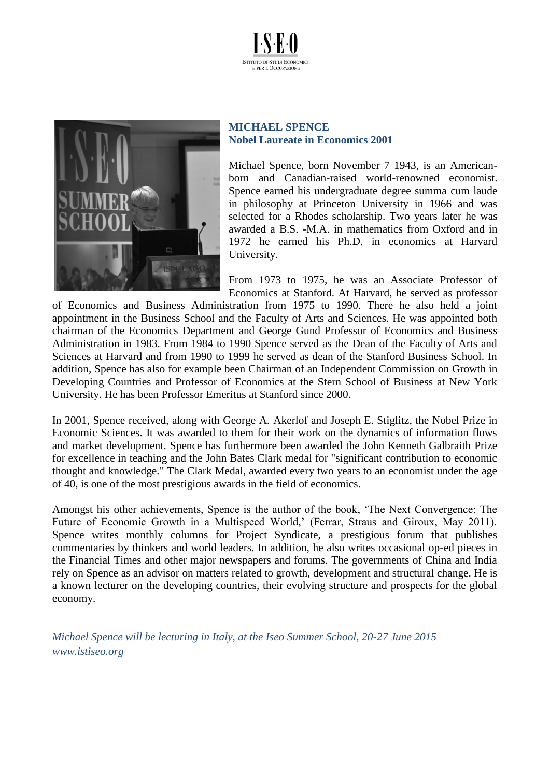



#### **MICHAEL SPENCE Nobel Laureate in Economics 2001**

Michael Spence, born November 7 1943, is an Americanborn and Canadian-raised world-renowned economist. Spence earned his undergraduate degree summa cum laude in philosophy at Princeton University in 1966 and was selected for a Rhodes scholarship. Two years later he was awarded a B.S. -M.A. in mathematics from Oxford and in 1972 he earned his Ph.D. in economics at Harvard University.

From 1973 to 1975, he was an Associate Professor of Economics at Stanford. At Harvard, he served as professor

of Economics and Business Administration from 1975 to 1990. There he also held a joint appointment in the Business School and the Faculty of Arts and Sciences. He was appointed both chairman of the Economics Department and George Gund Professor of Economics and Business Administration in 1983. From 1984 to 1990 Spence served as the Dean of the Faculty of Arts and Sciences at Harvard and from 1990 to 1999 he served as dean of the Stanford Business School. In addition, Spence has also for example been Chairman of an Independent Commission on Growth in Developing Countries and Professor of Economics at the Stern School of Business at New York University. He has been Professor Emeritus at Stanford since 2000.

In 2001, Spence received, along with George A. Akerlof and Joseph E. Stiglitz, the Nobel Prize in Economic Sciences. It was awarded to them for their work on the dynamics of information flows and market development. Spence has furthermore been awarded the John Kenneth Galbraith Prize for excellence in teaching and the John Bates Clark medal for "significant contribution to economic thought and knowledge." The Clark Medal, awarded every two years to an economist under the age of 40, is one of the most prestigious awards in the field of economics.

Amongst his other achievements, Spence is the author of the book, 'The Next Convergence: The Future of Economic Growth in a Multispeed World,' (Ferrar, Straus and Giroux, May 2011). Spence writes monthly columns for Project Syndicate, a prestigious forum that publishes commentaries by thinkers and world leaders. In addition, he also writes occasional op-ed pieces in the Financial Times and other major newspapers and forums. The governments of China and India rely on Spence as an advisor on matters related to growth, development and structural change. He is a known lecturer on the developing countries, their evolving structure and prospects for the global economy.

*Michael Spence will be lecturing in Italy, at the Iseo Summer School, 20-27 June 2015 www.istiseo.org*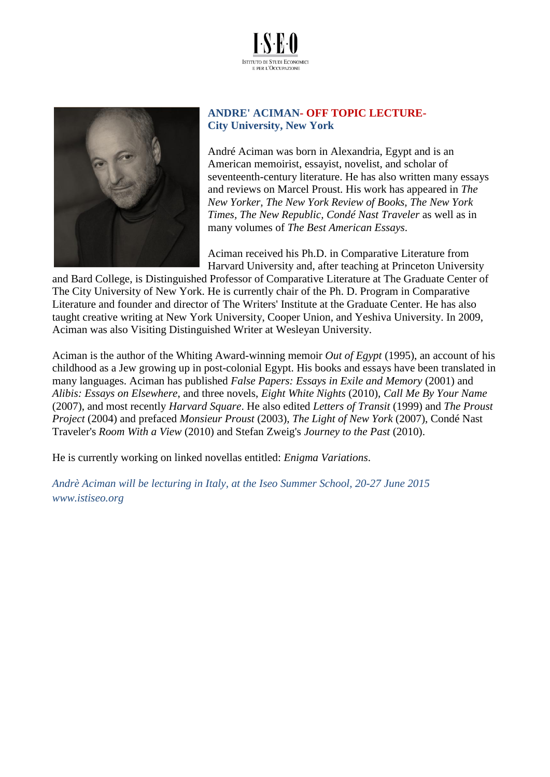



## **ANDRE' ACIMAN- OFF TOPIC LECTURE-City University, New York**

André Aciman was born in Alexandria, Egypt and is an American memoirist, essayist, novelist, and scholar of seventeenth-century literature. He has also written many essays and reviews on Marcel Proust. His work has appeared in *The New Yorker, The New York Review of Books, The New York Times, The New Republic, Condé Nast Traveler* as well as in many volumes of *The Best American Essays*.

Aciman received his Ph.D. in Comparative Literature from Harvard University and, after teaching at Princeton University

and Bard College, is Distinguished Professor of Comparative Literature at The Graduate Center of The City University of New York. He is currently chair of the Ph. D. Program in Comparative Literature and founder and director of The Writers' Institute at the Graduate Center. He has also taught creative writing at New York University, Cooper Union, and Yeshiva University. In 2009, Aciman was also Visiting Distinguished Writer at Wesleyan University.

Aciman is the author of the Whiting Award-winning memoir *Out of Egypt* (1995), an account of his childhood as a Jew growing up in post-colonial Egypt. His books and essays have been translated in many languages. Aciman has published *False Papers: Essays in Exile and Memory* (2001) and *Alibis: Essays on Elsewhere*, and three novels, *Eight White Nights* (2010), *Call Me By Your Name* (2007), and most recently *Harvard Square*. He also edited *Letters of Transit* (1999) and *The Proust Project* (2004) and prefaced *Monsieur Proust* (2003), *The Light of New York* (2007), Condé Nast Traveler's *Room With a View* (2010) and Stefan Zweig's *Journey to the Past* (2010).

He is currently working on linked novellas entitled: *Enigma Variations*.

*Andrè Aciman will be lecturing in Italy, at the Iseo Summer School, 20-27 June 2015 www.istiseo.org*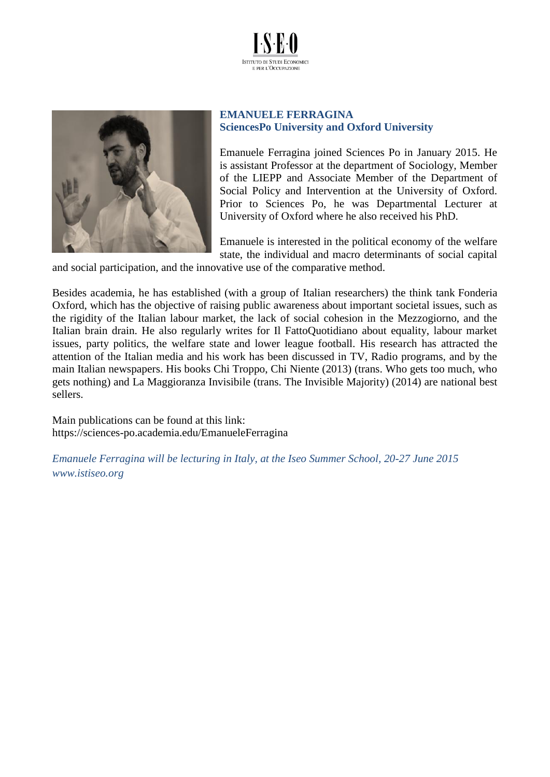



## **EMANUELE FERRAGINA SciencesPo University and Oxford University**

Emanuele Ferragina joined Sciences Po in January 2015. He is assistant Professor at the department of Sociology, Member of the LIEPP and Associate Member of the Department of Social Policy and Intervention at the University of Oxford. Prior to Sciences Po, he was Departmental Lecturer at University of Oxford where he also received his PhD.

Emanuele is interested in the political economy of the welfare state, the individual and macro determinants of social capital

and social participation, and the innovative use of the comparative method.

Besides academia, he has established (with a group of Italian researchers) the think tank Fonderia Oxford, which has the objective of raising public awareness about important societal issues, such as the rigidity of the Italian labour market, the lack of social cohesion in the Mezzogiorno, and the Italian brain drain. He also regularly writes for Il FattoQuotidiano about equality, labour market issues, party politics, the welfare state and lower league football. His research has attracted the attention of the Italian media and his work has been discussed in TV, Radio programs, and by the main Italian newspapers. His books Chi Troppo, Chi Niente (2013) (trans. Who gets too much, who gets nothing) and La Maggioranza Invisibile (trans. The Invisible Majority) (2014) are national best sellers.

Main publications can be found at this link: <https://sciences-po.academia.edu/EmanueleFerragina>

*Emanuele Ferragina will be lecturing in Italy, at the Iseo Summer School, 20-27 June 2015 www.istiseo.org*